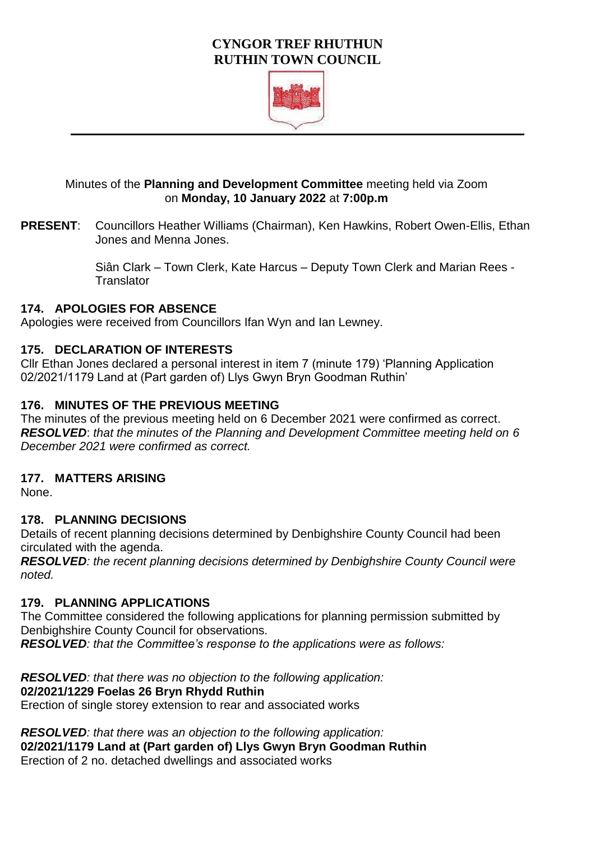## **CYNGOR TREF RHUTHUN RUTHIN TOWN COUNCIL**



## Minutes of the **Planning and Development Committee** meeting held via Zoom on **Monday, 10 January 2022** at **7:00p.m**

**PRESENT**: Councillors Heather Williams (Chairman), Ken Hawkins, Robert Owen-Ellis, Ethan Jones and Menna Jones.

> Siân Clark – Town Clerk, Kate Harcus – Deputy Town Clerk and Marian Rees - **Translator**

## **174. APOLOGIES FOR ABSENCE**

Apologies were received from Councillors Ifan Wyn and Ian Lewney.

## **175. DECLARATION OF INTERESTS**

Cllr Ethan Jones declared a personal interest in item 7 (minute 179) 'Planning Application 02/2021/1179 Land at (Part garden of) Llys Gwyn Bryn Goodman Ruthin'

## **176. MINUTES OF THE PREVIOUS MEETING**

The minutes of the previous meeting held on 6 December 2021 were confirmed as correct. *RESOLVED*: *that the minutes of the Planning and Development Committee meeting held on 6 December 2021 were confirmed as correct.* 

## **177. MATTERS ARISING**

None.

## **178. PLANNING DECISIONS**

Details of recent planning decisions determined by Denbighshire County Council had been circulated with the agenda.

*RESOLVED: the recent planning decisions determined by Denbighshire County Council were noted.* 

#### **179. PLANNING APPLICATIONS**

The Committee considered the following applications for planning permission submitted by Denbighshire County Council for observations. *RESOLVED: that the Committee's response to the applications were as follows:* 

*RESOLVED: that there was no objection to the following application:*  **02/2021/1229 Foelas 26 Bryn Rhydd Ruthin** Erection of single storey extension to rear and associated works

*RESOLVED: that there was an objection to the following application:*  **02/2021/1179 Land at (Part garden of) Llys Gwyn Bryn Goodman Ruthin** Erection of 2 no. detached dwellings and associated works